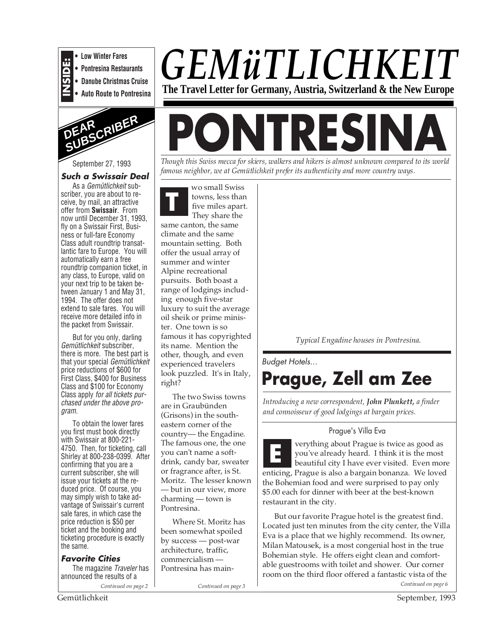

**• Low Winter Fares • Pontresina Restaurants**

**• Danube Christmas Cruise**

**• Auto Route to Pontresina**



#### September 27, 1993

#### **Such a Swissair Deal**

As a Gemütlichkeit subscriber, you are about to receive, by mail, an attractive offer from **Swissair**. From now until December 31, 1993, fly on a Swissair First, Business or full-fare Economy Class adult roundtrip transatlantic fare to Europe. You will automatically earn a free roundtrip companion ticket, in any class, to Europe, valid on your next trip to be taken between January 1 and May 31, 1994. The offer does not extend to sale fares. You will receive more detailed info in the packet from Swissair.

But for you only, darling Gemütlichkeit subscriber, there is more. The best part is that your special Gemütlichkeit price reductions of \$600 for First Class, \$400 for Business Class and \$100 for Economy Class apply for all tickets purchased under the above program.

To obtain the lower fares you first must book directly with Swissair at 800-221- 4750. Then, for ticketing, call Shirley at 800-238-0399. After confirming that you are a current subscriber, she will issue your tickets at the reduced price. Of course, you may simply wish to take advantage of Swissair's current sale fares, in which case the price reduction is \$50 per ticket and the booking and ticketing procedure is exactly the same.

**Favorite Cities** The magazine Traveler has announced the results of a

*Continued on page 2*

# *GEMüTLICHKEIT* **The Travel Letter for Germany, Austria, Switzerland & the New Europe**

**PONTRES** 

*Though this Swiss mecca for skiers, walkers and hikers is almost unknown compared to its world famous neighbor, we at Gemütlichkeit prefer its authenticity and more country ways.*

**T** wo small Swiss towns, less than five miles apart. They share the same canton, the same climate and the same mountain setting. Both offer the usual array of summer and winter Alpine recreational pursuits. Both boast a range of lodgings including enough five-star luxury to suit the average oil sheik or prime minister. One town is so famous it has copyrighted its name. Mention the other, though, and even experienced travelers look puzzled. It's in Italy, right?

The two Swiss towns are in Graubünden (Grisons) in the southeastern corner of the country— the Engadine. The famous one, the one you can't name a softdrink, candy bar, sweater or fragrance after, is St. Moritz. The lesser known — but in our view, more charming — town is Pontresina.

Where St. Moritz has been somewhat spoiled by success — post-war architecture, traffic, commercialism — Pontresina has main-

*Continued on page 3 Continued on page 6*

*Typical Engadine houses in Pontresina.*

Budget Hotels...

# **Prague, Zell am Zee**

*Introducing a new correspondent, John Plunkett, a finder and connoisseur of good lodgings at bargain prices.*

#### Prague's Villa Eva

verything about Prague is twice as good as you've already heard. I think it is the most beautiful city I have ever visited. Even more enticing, Prague is also a bargain bonanza. We loved the Bohemian food and were surprised to pay only \$5.00 each for dinner with beer at the best-known restaurant in the city. **E**

But our favorite Prague hotel is the greatest find. Located just ten minutes from the city center, the Villa Eva is a place that we highly recommend. Its owner, Milan Matousek, is a most congenial host in the true Bohemian style. He offers eight clean and comfortable guestrooms with toilet and shower. Our corner room on the third floor offered a fantastic vista of the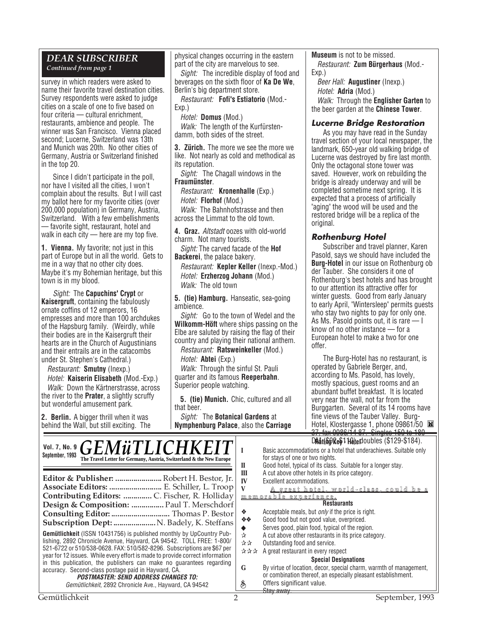#### *DEAR SUBSCRIBER*

*Continued from page 1*

survey in which readers were asked to name their favorite travel destination cities. Survey respondents were asked to judge cities on a scale of one to five based on four criteria — cultural enrichment, restaurants, ambience and people. The winner was San Francisco. Vienna placed second; Lucerne, Switzerland was 13th and Munich was 20th. No other cities of Germany, Austria or Switzerland finished in the top 20.

Since I didn't participate in the poll, nor have I visited all the cities, I won't complain about the results. But I will cast my ballot here for my favorite cities (over 200,000 population) in Germany, Austria, Switzerland. With a few embellishments — favorite sight, restaurant, hotel and walk in each city — here are my top five.

**1. Vienna.** My favorite; not just in this part of Europe but in all the world. Gets to me in a way that no other city does. Maybe it's my Bohemian heritage, but this town is in my blood.

Sight: The **Capuchins' Crypt** or **Kaisergruft**, containing the fabulously ornate coffins of 12 emperors, 16 empresses and more than 100 archdukes of the Hapsburg family. (Weirdly, while their bodies are in the Kaisergruft their hearts are in the Church of Augustinians and their entrails are in the catacombs under St. Stephen's Cathedral.)

Restaurant: **Smutny** (Inexp.)

Hotel: **Kaiserin Elisabeth** (Mod.-Exp.) Walk: Down the Kärtnerstrasse, across the river to the **Prater**, a slightly scruffy but wonderful amusement park.

**2. Berlin.** A bigger thrill when it was behind the Wall, but still exciting. The

 $GEMI$ : THEI $GIII$  $H$ 

physical changes occurring in the eastern part of the city are marvelous to see.

Sight: The incredible display of food and beverages on the sixth floor of **Ka De We**, Berlin's big department store.

Restaurant: **Fofi's Estiatorio** (Mod.- Exp.)

Hotel: **Domus** (Mod.) Walk: The length of the Kurfürstendamm, both sides of the street.

**3. Zürich.** The more we see the more we like. Not nearly as cold and methodical as its reputation.

Sight: The Chagall windows in the **Fraumünster**.

Restaurant: **Kronenhalle** (Exp.) Hotel: **Florhof** (Mod.)

Walk: The Bahnhofstrasse and then across the Limmat to the old town.

**4. Graz.** Altstadt oozes with old-world charm. Not many tourists.

Sight: The carved facade of the **Hof Backerei**, the palace bakery.

Restaurant: **Kepler Keller** (Inexp.-Mod.) Hotel: **Erzherzog Johann** (Mod.) Walk: The old town

**5. (tie) Hamburg.** Hanseatic, sea-going ambience.

Sight: Go to the town of Wedel and the **Wilkomm-Höft** where ships passing on the Elbe are saluted by raising the flag of their country and playing their national anthem.

Restaurant: **Ratsweinkeller** (Mod.)

Hotel: **Abtei** (Exp.)

Walk: Through the sinful St. Pauli quarter and its famous **Reeperbahn**. Superior people watching.

**5. (tie) Munich.** Chic, cultured and all that beer.

Sight: The **Botanical Gardens** at **Nymphenburg Palace**, also the **Carriage** **Museum** is not to be missed.

Restaurant: **Zum Bürgerhaus** (Mod.- Exp.)

Beer Hall: **Augustiner** (Inexp.) Hotel: **Adria** (Mod.) Walk: Through the **Englisher Garten** to

the beer garden at the **Chinese Tower**.

#### **Lucerne Bridge Restoration**

As you may have read in the Sunday travel section of your local newspaper, the landmark, 650-year old walking bridge of Lucerne was destroyed by fire last month. Only the octagonal stone tower was saved. However, work on rebuilding the bridge is already underway and will be completed sometime next spring. It is expected that a process of artificially "aging" the wood will be used and the restored bridge will be a replica of the original.

#### **Rothenburg Hotel**

Subscriber and travel planner, Karen Pasold, says we should have included the **Burg-Hotel** in our issue on Rothenburg ob der Tauber. She considers it one of Rothenburg's best hotels and has brought to our attention its attractive offer for winter guests. Good from early January to early April, "Wintersleep" permits guests who stay two nights to pay for only one. As Ms. Pasold points out, it is rare — I know of no other instance — for a European hotel to make a two for one offer.

The Burg-Hotel has no restaurant, is operated by Gabriele Berger, and, according to Ms. Pasold, has lovely, mostly spacious, guest rooms and an abundant buffet breakfast. It is located very near the wall, not far from the Burggarten. Several of its 14 rooms have fine views of the Tauber Valley. Burg-Hotel, Klostergasse 1, phone 09861/50 37, fax 0986/14 87. Singles 150 to 180

**DMat(&gRe\$1Ho)ed**Oubles (\$129-\$184).

| Vol. 7, No. 9 $\mathbf{GLM}$ u I LICHKEI I<br>September, 1993<br>The Travel Letter for Germany, Austria, Switzerland & the New Europe<br>Editor & Publisher:  Robert H. Bestor, Jr.<br>Associate Editors:  E. Schiller, L. Troop<br>Contributing Editors:  C. Fischer, R. Holliday<br>Design & Composition:  Paul T. Merschdorf<br>Consulting Editor:  Thomas P. Bestor | П<br>Ш<br>IV<br>V<br>❖ | Basic accommodations or a hotel that underachieves. Suitable only<br>for stays of one or two nights.<br>Good hotel, typical of its class. Suitable for a longer stay.<br>A cut above other hotels in its price category.<br>Excellent accommodations.<br><u>A great hotel, world-class, could be a</u><br><u>memorable experience.</u><br><b>Restaurants</b><br>Acceptable meals, but <i>only</i> if the price is right. |
|-------------------------------------------------------------------------------------------------------------------------------------------------------------------------------------------------------------------------------------------------------------------------------------------------------------------------------------------------------------------------|------------------------|--------------------------------------------------------------------------------------------------------------------------------------------------------------------------------------------------------------------------------------------------------------------------------------------------------------------------------------------------------------------------------------------------------------------------|
| Subscription Dept:  N. Badely, K. Steffans                                                                                                                                                                                                                                                                                                                              | <b>交易</b>              | Good food but not good value, overpriced.<br>Serves good, plain food, typical of the region.                                                                                                                                                                                                                                                                                                                             |
| <b>Gemütlichkeit</b> (ISSN 10431756) is published monthly by UpCountry Pub-<br>lishing, 2892 Chronicle Avenue, Hayward, CA 94542. TOLL FREE: 1-800/<br>521-6722 or 510/538-0628. FAX: 510/582-8296. Subscriptions are \$67 per<br>year for 12 issues. While every effort is made to provide correct information                                                         |                        | A cut above other restaurants in its price category.<br>Outstanding food and service.<br>A great restaurant in every respect<br><b>Special Designations</b>                                                                                                                                                                                                                                                              |
| in this publication, the publishers can make no quarantees regarding<br>accuracy. Second-class postage paid in Hayward, CA.<br><b>POSTMASTER: SEND ADDRESS CHANGES TO:</b><br>Gemütlichkeit, 2892 Chronicle Ave., Hayward, CA 94542                                                                                                                                     | G<br>S                 | By virtue of location, decor, special charm, warmth of management,<br>or combination thereof, an especially pleasant establishment.<br>Offers significant value.<br><del>Stav awav.</del>                                                                                                                                                                                                                                |
| Gemütlichkeit                                                                                                                                                                                                                                                                                                                                                           |                        | September, 1993                                                                                                                                                                                                                                                                                                                                                                                                          |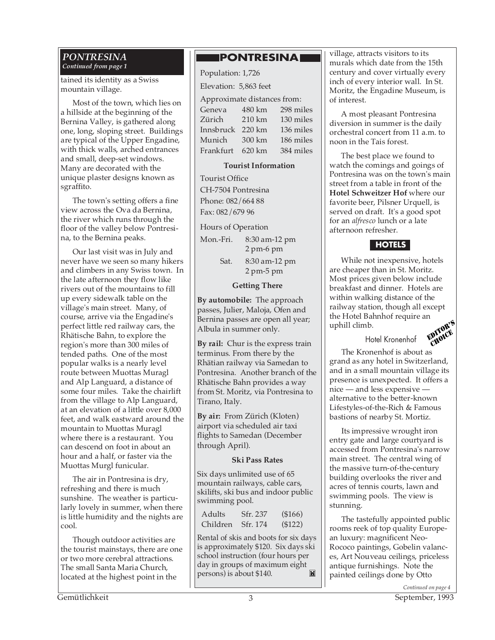#### *PONTRESINA Continued from page 1*

tained its identity as a Swiss mountain village.

Most of the town, which lies on a hillside at the beginning of the Bernina Valley, is gathered along one, long, sloping street. Buildings are typical of the Upper Engadine, with thick walls, arched entrances and small, deep-set windows. Many are decorated with the unique plaster designs known as sgraffito.

The town's setting offers a fine view across the Ova da Bernina, the river which runs through the floor of the valley below Pontresina, to the Bernina peaks.

Our last visit was in July and never have we seen so many hikers and climbers in any Swiss town. In the late afternoon they flow like rivers out of the mountains to fill up every sidewalk table on the village's main street. Many, of course, arrive via the Engadine's perfect little red railway cars, the Rhätische Bahn, to explore the region's more than 300 miles of tended paths. One of the most popular walks is a nearly level route between Muottas Muragl and Alp Languard, a distance of some four miles. Take the chairlift from the village to Alp Languard, at an elevation of a little over 8,000 feet, and walk eastward around the mountain to Muottas Muragl where there is a restaurant. You can descend on foot in about an hour and a half, or faster via the Muottas Murgl funicular.

The air in Pontresina is dry, refreshing and there is much sunshine. The weather is particularly lovely in summer, when there is little humidity and the nights are cool.

Though outdoor activities are the tourist mainstays, there are one or two more cerebral attractions. The small Santa Maria Church, located at the highest point in the

## **PONTRESINAI**

Population: 1,726 Elevation: 5,863 feet Approximate distances from: Geneva 480 km 298 miles Zürich 210 km 130 miles Innsbruck 220 km 136 miles Munich 300 km 186 miles Frankfurt 620 km 384 miles

#### **Tourist Information**

Tourist Office CH-7504 Pontresina Phone: 082/664 88 Fax: 082/679 96

Hours of Operation

| Mon.-Fri. | 8:30 am-12 pm<br>$2 \text{ pm-6 pm}$         |
|-----------|----------------------------------------------|
| Sat.      | 8:30 am-12 pm<br>$2 \text{ pm-}5 \text{ pm}$ |

#### **Getting There**

**By automobile:** The approach passes, Julier, Maloja, Ofen and Bernina passes are open all year; Albula in summer only.

**By rail:** Chur is the express train terminus. From there by the Rhätian railway via Samedan to Pontresina. Another branch of the Rhätische Bahn provides a way from St. Moritz, via Pontresina to Tirano, Italy.

**By air:** From Zürich (Kloten) airport via scheduled air taxi flights to Samedan (December through April).

#### **Ski Pass Rates**

Six days unlimited use of 65 mountain railways, cable cars, skilifts, ski bus and indoor public swimming pool.

| Adults   | Sfr. 237 | (\$166) |
|----------|----------|---------|
| Children | Sfr. 174 | (\$122) |

Rental of skis and boots for six days is approximately \$120. Six days ski school instruction (four hours per day in groups of maximum eight M persons) is about \$140.

village, attracts visitors to its murals which date from the 15th century and cover virtually every inch of every interior wall. In St. Moritz, the Engadine Museum, is of interest.

A most pleasant Pontresina diversion in summer is the daily orchestral concert from 11 a.m. to noon in the Tais forest.

The best place we found to watch the comings and goings of Pontresina was on the town's main street from a table in front of the **Hotel Schweitzer Hof** where our favorite beer, Pilsner Urquell, is served on draft. It's a good spot for an *alfresco* lunch or a late afternoon refresher.

#### **HOTELS**

While not inexpensive, hotels are cheaper than in St. Moritz. Most prices given below include breakfast and dinner. Hotels are within walking distance of the railway station, though all except the Hotel Bahnhof require an uphill climb.

Hotel Kronenhof



The Kronenhof is about as grand as any hotel in Switzerland, and in a small mountain village its presence is unexpected. It offers a nice — and less expensive alternative to the better-known Lifestyles-of-the-Rich & Famous bastions of nearby St. Mortiz.

Its impressive wrought iron entry gate and large courtyard is accessed from Pontresina's narrow main street. The central wing of the massive turn-of-the-century building overlooks the river and acres of tennis courts, lawn and swimming pools. The view is stunning.

The tastefully appointed public rooms reek of top quality European luxury: magnificent Neo-Rococo paintings, Gobelin valances, Art Nouveau ceilings, priceless antique furnishings. Note the painted ceilings done by Otto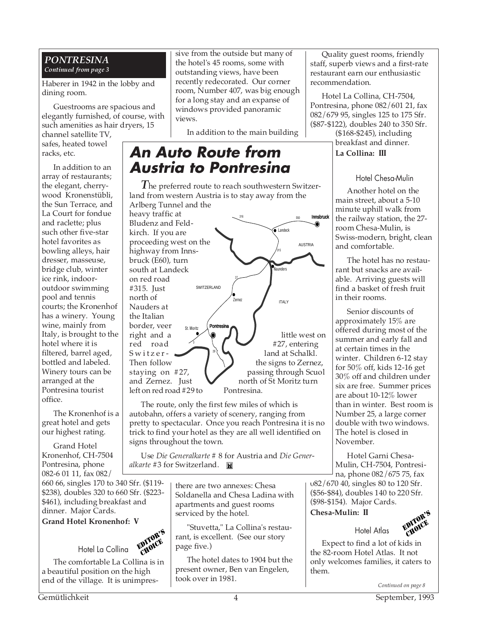#### *PONTRESINA Continued from page 3*

Haberer in 1942 in the lobby and dining room.

Guestrooms are spacious and elegantly furnished, of course, with such amenities as hair dryers, 15

channel satellite TV, safes, heated towel racks, etc.

In addition to an array of restaurants; the elegant, cherrywood Kronenstübli, the Sun Terrace, and La Court for fondue and raclette; plus such other five-star hotel favorites as bowling alleys, hair dresser, masseuse, bridge club, winter ice rink, indooroutdoor swimming pool and tennis courts; the Kronenhof has a winery. Young wine, mainly from Italy, is brought to the hotel where it is filtered, barrel aged, bottled and labeled. Winery tours can be arranged at the Pontresina tourist office.

The Kronenhof is a great hotel and gets our highest rating.

Grand Hotel Kronenhof, CH-7504 Pontresina, phone 082-6 01 11, fax 082/

660 66, singles 170 to 340 Sfr. (\$119- \$238), doubles 320 to 660 Sfr. (\$223- \$461), including breakfast and dinner. Major Cards.

**Grand Hotel Kronenhof: V**

Hotel La Collina EDITOR'S CHOICE

The comfortable La Collina is in a beautiful position on the high end of the village. It is unimpressive from the outside but many of the hotel's 45 rooms, some with outstanding views, have been recently redecorated. Our corner room, Number 407, was big enough for a long stay and an expanse of windows provided panoramic views.

In addition to the main building

## **An Auto Route from Austria to Pontresina**

*T*he preferred route to reach southwestern Switzerland from western Austria is to stay away from the Arlberg Tunnel and the

heavy traffic at Bludenz and Feldkirch. If you are proceeding west on the highway from Innsbruck (E60), turn south at Landeck on red road #315. Just north of Nauders at the Italian border, veer<br>right and a right and a  $\bigvee_{i=1}^{\infty}$  and  $\bigvee_{i=1}^{\infty}$  little west on #27, entering  $Switzer$  and at Schalkl. Then follow  $\left\{\begin{array}{c} \searrow \searrow \end{array}\right\}$  the signs to Zernez, staying on #27, **passing through Scuol** and Zernez. Just north of St Moritz turn<br>left on red road #29 to Pontresina. left on red road  $#29$  to .<br>Landeck 315 E60 **AUSTRIA** SWITZERLAND 27 aunders St. Moritz ITALY 29 Zernez Pon **Innsbruck** 

The route, only the first few miles of which is autobahn, offers a variety of scenery, ranging from pretty to spectacular. Once you reach Pontresina it is no trick to find your hotel as they are all well identified on signs throughout the town.

Use *Die Generalkarte* # 8 for Austria and *Die Generalkarte* #3 for Switzerland.

> there are two annexes: Chesa Soldanella and Chesa Ladina with apartments and guest rooms serviced by the hotel.

"Stuvetta," La Collina's restaurant, is excellent. (See our story page five.)

The hotel dates to 1904 but the present owner, Ben van Engelen, took over in 1981.

Quality guest rooms, friendly staff, superb views and a first-rate restaurant earn our enthusiastic recommendation.

Hotel La Collina, CH-7504, Pontresina, phone 082/601 21, fax 082/679 95, singles 125 to 175 Sfr. (\$87-\$122), doubles 240 to 350 Sfr.

(\$168-\$245), including breakfast and dinner. **La Collina: III**

#### Hotel Chesa-Mulin

Another hotel on the main street, about a 5-10 minute uphill walk from the railway station, the 27 room Chesa-Mulin, is Swiss-modern, bright, clean and comfortable.

The hotel has no restaurant but snacks are available. Arriving guests will find a basket of fresh fruit in their rooms.

Senior discounts of approximately 15% are offered during most of the summer and early fall and at certain times in the winter. Children 6-12 stay for 50% off, kids 12-16 get 30% off and children under six are free. Summer prices are about 10-12% lower than in winter. Best room is Number 25, a large corner double with two windows. The hotel is closed in November.

Hotel Garni Chesa-Mulin, CH-7504, Pontresina, phone 082/675 75, fax

082/670 40, singles 80 to 120 Sfr. (\$56-\$84), doubles 140 to 220 Sfr. (\$98-\$154). Major Cards.

**Chesa-Mulin: II**



Expect to find a lot of kids in the 82-room Hotel Atlas. It not only welcomes families, it caters to them.

Hotel Atlas

*Continued on page 8*

Gemütlichkeit 4 September, 1993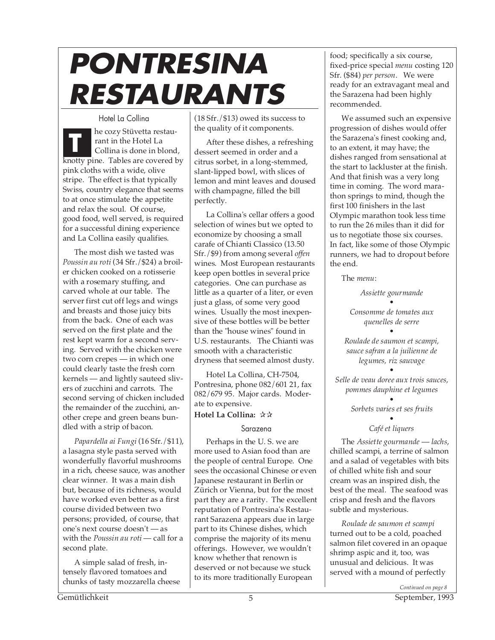# **PONTRESINA RESTAURANTS**

Hotel La Collina he cozy Stüvetta restaurant in the Hotel La Collina is done in blond, knotty pine. Tables are covered by pink cloths with a wide, olive stripe. The effect is that typically Swiss, country elegance that seems to at once stimulate the appetite and relax the soul. Of course, good food, well served, is required for a successful dining experience and La Collina easily qualifies. **T**

The most dish we tasted was *Poussin au roti* (34 Sfr./\$24) a broiler chicken cooked on a rotisserie with a rosemary stuffing, and carved whole at our table. The server first cut off legs and wings and breasts and those juicy bits from the back. One of each was served on the first plate and the rest kept warm for a second serving. Served with the chicken were two corn crepes — in which one could clearly taste the fresh corn kernels — and lightly sauteed slivers of zucchini and carrots. The second serving of chicken included the remainder of the zucchini, another crepe and green beans bundled with a strip of bacon.

*Papardella ai Fungi* (16 Sfr./\$11), a lasagna style pasta served with wonderfully flavorful mushrooms in a rich, cheese sauce, was another clear winner. It was a main dish but, because of its richness, would have worked even better as a first course divided between two persons; provided, of course, that one's next course doesn't — as with the *Poussin au roti* — call for a second plate.

A simple salad of fresh, intensely flavored tomatoes and chunks of tasty mozzarella cheese  $(18 Sfr./$13)$  owed its success to the quality of it components.

After these dishes, a refreshing dessert seemed in order and a citrus sorbet, in a long-stemmed, slant-lipped bowl, with slices of lemon and mint leaves and doused with champagne, filled the bill perfectly.

La Collina's cellar offers a good selection of wines but we opted to economize by choosing a small carafe of Chianti Classico (13.50 Sfr./\$9) from among several *offen* wines. Most European restaurants keep open bottles in several price categories. One can purchase as little as a quarter of a liter, or even just a glass, of some very good wines. Usually the most inexpensive of these bottles will be better than the "house wines" found in U.S. restaurants. The Chianti was smooth with a characteristic dryness that seemed almost dusty.

Hotel La Collina, CH-7504, Pontresina, phone 082/601 21, fax 082/679 95. Major cards. Moderate to expensive.

#### **Hotel La Collina:** ✰✰

#### Sarazena

Perhaps in the U. S. we are more used to Asian food than are the people of central Europe. One sees the occasional Chinese or even Japanese restaurant in Berlin or Zürich or Vienna, but for the most part they are a rarity. The excellent reputation of Pontresina's Restaurant Sarazena appears due in large part to its Chinese dishes, which comprise the majority of its menu offerings. However, we wouldn't know whether that renown is deserved or not because we stuck to its more traditionally European

food; specifically a six course, fixed-price special *menu* costing 120 Sfr. (\$84) *per person*. We were ready for an extravagant meal and the Sarazena had been highly recommended.

We assumed such an expensive progression of dishes would offer the Sarazena's finest cooking and, to an extent, it may have; the dishes ranged from sensational at the start to lackluster at the finish. And that finish was a very long time in coming. The word marathon springs to mind, though the first 100 finishers in the last Olympic marathon took less time to run the 26 miles than it did for us to negotiate those six courses. In fact, like some of those Olympic runners, we had to dropout before the end.

The *menu*:

*Assiette gourmande • Consomme de tomates aux*

*quenelles de serre • Roulade de saumon et scampi, sauce safran a la juilienne de*

*legumes, riz sauvage*

*• Selle de veau doree aux trois sauces, pommes dauphine et legumes*

> *• Sorbets varies et ses fruits*

#### *• Café et liquers*

The *Assiette gourmande* — *lachs*, chilled scampi, a terrine of salmon and a salad of vegetables with bits of chilled white fish and sour cream was an inspired dish, the best of the meal. The seafood was crisp and fresh and the flavors subtle and mysterious.

*Roulade de saumon et scampi* turned out to be a cold, poached salmon filet covered in an opaque shrimp aspic and it, too, was unusual and delicious. It was served with a mound of perfectly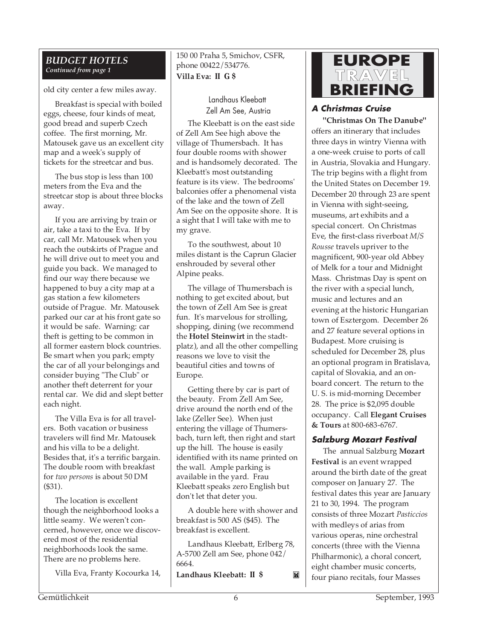#### *BUDGET HOTELS Continued from page 1*

old city center a few miles away.

Breakfast is special with boiled eggs, cheese, four kinds of meat, good bread and superb Czech coffee. The first morning, Mr. Matousek gave us an excellent city map and a week's supply of tickets for the streetcar and bus.

The bus stop is less than 100 meters from the Eva and the streetcar stop is about three blocks away.

If you are arriving by train or air, take a taxi to the Eva. If by car, call Mr. Matousek when you reach the outskirts of Prague and he will drive out to meet you and guide you back. We managed to find our way there because we happened to buy a city map at a gas station a few kilometers outside of Prague. Mr. Matousek parked our car at his front gate so it would be safe. Warning: car theft is getting to be common in all former eastern block countries. Be smart when you park; empty the car of all your belongings and consider buying "The Club" or another theft deterrent for your rental car. We did and slept better each night.

The Villa Eva is for all travelers. Both vacation or business travelers will find Mr. Matousek and his villa to be a delight. Besides that, it's a terrific bargain. The double room with breakfast for *two persons* is about 50 DM (\$31).

The location is excellent though the neighborhood looks a little seamy. We weren't concerned, however, once we discovered most of the residential neighborhoods look the same. There are no problems here.

Villa Eva, Franty Kocourka 14,

150 00 Praha 5, Smichov, CSFR, phone 00422/534776. **Villa Eva: II G \$**

> Landhaus Kleebatt Zell Am See, Austria

The Kleebatt is on the east side of Zell Am See high above the village of Thumersbach. It has four double rooms with shower and is handsomely decorated. The Kleebatt's most outstanding feature is its view. The bedrooms' balconies offer a phenomenal vista of the lake and the town of Zell Am See on the opposite shore. It is a sight that I will take with me to my grave.

To the southwest, about 10 miles distant is the Caprun Glacier enshrouded by several other Alpine peaks.

The village of Thumersbach is nothing to get excited about, but the town of Zell Am See is great fun. It's marvelous for strolling, shopping, dining (we recommend the **Hotel Steinwirt** in the stadtplatz), and all the other compelling reasons we love to visit the beautiful cities and towns of Europe.

Getting there by car is part of the beauty. From Zell Am See, drive around the north end of the lake (Zeller See). When just entering the village of Thumersbach, turn left, then right and start up the hill. The house is easily identified with its name printed on the wall. Ample parking is available in the yard. Frau Kleebatt speaks zero English but don't let that deter you.

A double here with shower and breakfast is 500 AS (\$45). The breakfast is excellent.

Landhaus Kleebatt, Erlberg 78, A-5700 Zell am See, phone 042/ 6664.

M

**Landhaus Kleebatt: II \$**



#### **A Christmas Cruise**

**"Christmas On The Danube"** offers an itinerary that includes three days in wintry Vienna with a one-week cruise to ports of call in Austria, Slovakia and Hungary. The trip begins with a flight from the United States on December 19. December 20 through 23 are spent in Vienna with sight-seeing, museums, art exhibits and a special concert. On Christmas Eve, the first-class riverboat *M/S Rousse* travels upriver to the magnificent, 900-year old Abbey of Melk for a tour and Midnight Mass. Christmas Day is spent on the river with a special lunch, music and lectures and an evening at the historic Hungarian town of Esztergom. December 26 and 27 feature several options in Budapest. More cruising is scheduled for December 28, plus an optional program in Bratislava, capital of Slovakia, and an onboard concert. The return to the U. S. is mid-morning December 28. The price is \$2,095 double occupancy. Call **Elegant Cruises & Tours** at 800-683-6767.

#### **Salzburg Mozart Festival**

The annual Salzburg **Mozart Festival** is an event wrapped around the birth date of the great composer on January 27. The festival dates this year are January 21 to 30, 1994. The program consists of three Mozart *Pasticcios* with medleys of arias from various operas, nine orchestral concerts (three with the Vienna Philharmonic), a choral concert, eight chamber music concerts, four piano recitals, four Masses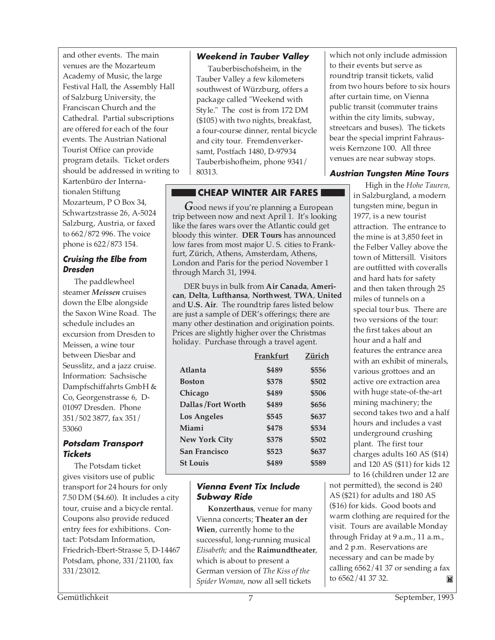and other events. The main venues are the Mozarteum Academy of Music, the large Festival Hall, the Assembly Hall of Salzburg University, the Franciscan Church and the Cathedral. Partial subscriptions are offered for each of the four events. The Austrian National Tourist Office can provide program details. Ticket orders should be addressed in writing to

Kartenbüro der Internationalen Stiftung Mozarteum, P O Box 34, Schwartzstrasse 26, A-5024 Salzburg, Austria, or faxed to 662/872 996. The voice phone is 622/873 154.

#### **Cruising the Elbe from Dresden**

The paddlewheel steamer *Meissen* cruises down the Elbe alongside the Saxon Wine Road. The schedule includes an excursion from Dresden to Meissen, a wine tour between Diesbar and Seusslitz, and a jazz cruise. Information: Sachsische Dampfschiffahrts GmbH & Co, Georgenstrasse 6, D-01097 Dresden. Phone 351/502 3877, fax 351/ 53060

#### **Potsdam Transport Tickets**

The Potsdam ticket gives visitors use of public transport for 24 hours for only 7.50 DM (\$4.60). It includes a city tour, cruise and a bicycle rental. Coupons also provide reduced entry fees for exhibitions. Contact: Potsdam Information, Friedrich-Ebert-Strasse 5, D-14467 Potsdam, phone, 331/21100, fax 331/23012.

#### **Weekend in Tauber Valley**

Tauberbischofsheim, in the Tauber Valley a few kilometers southwest of Würzburg, offers a package called "Weekend with Style." The cost is from 172 DM (\$105) with two nights, breakfast, a four-course dinner, rental bicycle and city tour. Fremdenverkersamt, Postfach 1480, D-97934 Tauberbishofheim, phone 9341/ 80313.

### **CHEAP WINTER AIR FARES**

*G*ood news if you're planning a European trip between now and next April 1. It's looking like the fares wars over the Atlantic could get bloody this winter. **DER Tours** has announced low fares from most major U. S. cities to Frankfurt, Zürich, Athens, Amsterdam, Athens, London and Paris for the period November 1 through March 31, 1994.

DER buys in bulk from **Air Canada**, **American**, **Delta**, **Lufthansa**, **Northwest**, **TWA**, **United** and **U.S. Air**. The roundtrip fares listed below are just a sample of DER's offerings; there are many other destination and origination points. Prices are slightly higher over the Christmas holiday. Purchase through a travel agent.

|                      | Frankfurt | Zürich |
|----------------------|-----------|--------|
| Atlanta              | \$489     | \$556  |
| <b>Boston</b>        | \$378     | \$502  |
| Chicago              | \$489     | \$506  |
| Dallas /Fort Worth   | \$489     | \$656  |
| <b>Los Angeles</b>   | \$545     | \$637  |
| Miami                | \$478     | \$534  |
| <b>New York City</b> | \$378     | \$502  |
| San Francisco        | \$523     | \$637  |
| <b>St Louis</b>      | \$489     | \$589  |

#### **Vienna Event Tix Include Subway Ride**

**Konzerthaus**, venue for many Vienna concerts; **Theater an der Wien**, currently home to the successful, long-running musical *Elisabeth;* and the **Raimundtheater**, which is about to present a German version of *The Kiss of the Spider Woman*, now all sell tickets

which not only include admission to their events but serve as roundtrip transit tickets, valid from two hours before to six hours after curtain time, on Vienna public transit (commuter trains within the city limits, subway, streetcars and buses). The tickets bear the special imprint Fahrausweis Kernzone 100. All three venues are near subway stops.

#### **Austrian Tungsten Mine Tours**

High in the *Hohe Tauren,* in Salzburgland, a modern tungsten mine, begun in 1977, is a new tourist attraction. The entrance to the mine is at 3,850 feet in the Felber Valley above the town of Mittersill. Visitors are outfitted with coveralls and hard hats for safety and then taken through 25 miles of tunnels on a special tour bus. There are two versions of the tour: the first takes about an hour and a half and features the entrance area with an exhibit of minerals, various grottoes and an active ore extraction area with huge state-of-the-art mining machinery; the second takes two and a half hours and includes a vast underground crushing plant. The first tour charges adults 160 AS (\$14) and 120 AS (\$11) for kids 12 to 16 (children under 12 are

not permitted), the second is 240 AS (\$21) for adults and 180 AS (\$16) for kids. Good boots and warm clothing are required for the visit. Tours are available Monday through Friday at 9 a.m., 11 a.m., and 2 p.m. Reservations are necessary and can be made by calling  $6562/4137$  or sending a fax to 6562/41 37 32. M